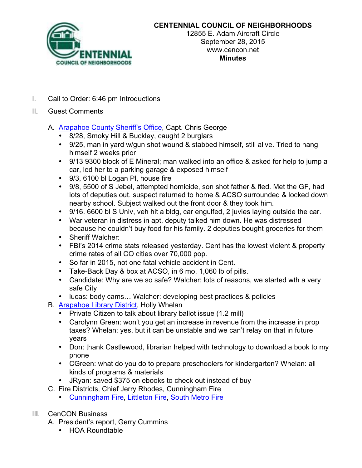

## **CENTENNIAL COUNCIL OF NEIGHBORHOODS**

12855 E. Adam Aircraft Circle September 28, 2015 www.cencon.net **Minutes**

- I. Call to Order: 6:46 pm Introductions
- II. Guest Comments
	- A. Arapahoe County Sheriff's Office, Capt. Chris George
		- 8/28, Smoky Hill & Buckley, caught 2 burglars
		- 9/25, man in yard w/gun shot wound & stabbed himself, still alive. Tried to hang himself 2 weeks prior
		- 9/13 9300 block of E Mineral; man walked into an office & asked for help to jump a car, led her to a parking garage & exposed himself
		- 9/3, 6100 bl Logan Pl, house fire
		- 9/8, 5500 of S Jebel, attempted homicide, son shot father & fled. Met the GF, had lots of deputies out. suspect returned to home & ACSO surrounded & locked down nearby school. Subject walked out the front door & they took him.
		- 9/16. 6600 bl S Univ, veh hit a bldg, car engulfed, 2 juvies laying outside the car.
		- War veteran in distress in apt, deputy talked him down. He was distressed because he couldn't buy food for his family. 2 deputies bought groceries for them
		- Sheriff Walcher:
		- FBI's 2014 crime stats released yesterday. Cent has the lowest violent & property crime rates of all CO cities over 70,000 pop.
		- So far in 2015, not one fatal vehicle accident in Cent.
		- Take-Back Day & box at ACSO, in 6 mo. 1,060 lb of pills.
		- Candidate: Why are we so safe? Walcher: lots of reasons, we started wth a very safe City
		- lucas: body cams... Walcher: developing best practices & policies
	- B. Arapahoe Library District, Holly Whelan
		- Private Citizen to talk about library ballot issue (1.2 mill)
		- Carolynn Green: won't you get an increase in revenue from the increase in prop taxes? Whelan: yes, but it can be unstable and we can't relay on that in future years
		- Don: thank Castlewood, librarian helped with technology to download a book to my phone
		- CGreen: what do you do to prepare preschoolers for kindergarten? Whelan: all kinds of programs & materials
		- JRyan: saved \$375 on ebooks to check out instead of buy
	- C. Fire Districts, Chief Jerry Rhodes, Cunningham Fire
		- Cunningham Fire, Littleton Fire, South Metro Fire
- III. CenCON Business
	- A. President's report, Gerry Cummins
		- HOA Roundtable